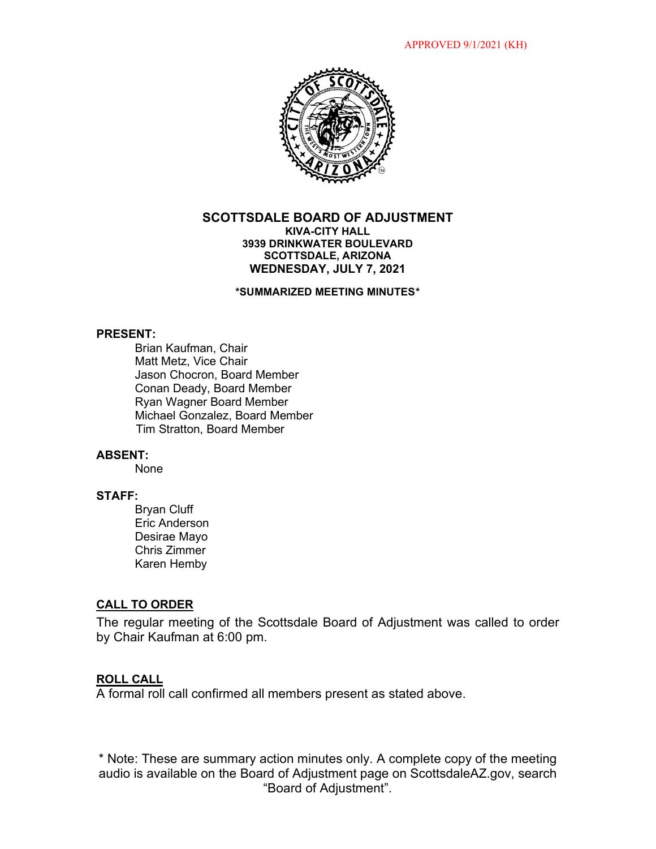

## **SCOTTSDALE BOARD OF ADJUSTMENT KIVA-CITY HALL 3939 DRINKWATER BOULEVARD SCOTTSDALE, ARIZONA WEDNESDAY, JULY 7, 2021**

**\*SUMMARIZED MEETING MINUTES\***

#### **PRESENT:**

Brian Kaufman, Chair Matt Metz, Vice Chair Jason Chocron, Board Member Conan Deady, Board Member Ryan Wagner Board Member Michael Gonzalez, Board Member Tim Stratton, Board Member

### **ABSENT:**

None

# **STAFF:**

Bryan Cluff Eric Anderson Desirae Mayo Chris Zimmer Karen Hemby

## **CALL TO ORDER**

The regular meeting of the Scottsdale Board of Adjustment was called to order by Chair Kaufman at 6:00 pm.

#### **ROLL CALL**

A formal roll call confirmed all members present as stated above.

\* Note: These are summary action minutes only. A complete copy of the meeting audio is available on the Board of Adjustment page on ScottsdaleAZ.gov, search "Board of Adjustment".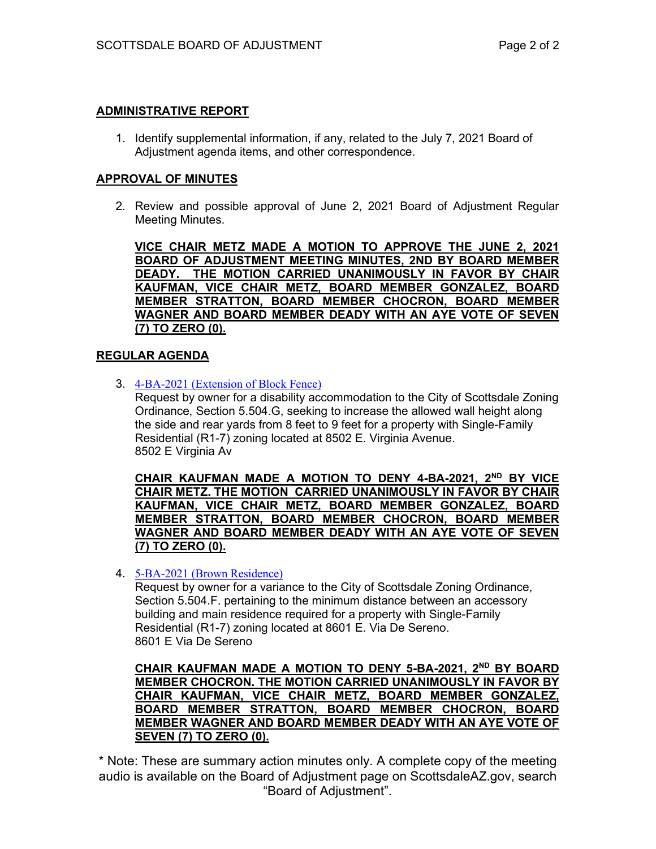# **ADMINISTRATIVE REPORT**

1. Identify supplemental information, if any, related to the July 7, 2021 Board of Adjustment agenda items, and other correspondence.

## **APPROVAL OF MINUTES**

2. Review and possible approval of June 2, 2021 Board of Adjustment Regular Meeting Minutes.

**VICE CHAIR METZ MADE A MOTION TO APPROVE THE JUNE 2, 2021 BOARD OF ADJUSTMENT MEETING MINUTES, 2ND BY BOARD MEMBER DEADY. THE MOTION CARRIED UNANIMOUSLY IN FAVOR BY CHAIR KAUFMAN, VICE CHAIR METZ, BOARD MEMBER GONZALEZ, BOARD MEMBER STRATTON, BOARD MEMBER CHOCRON, BOARD MEMBER WAGNER AND BOARD MEMBER DEADY WITH AN AYE VOTE OF SEVEN (7) TO ZERO (0).** 

## **REGULAR AGENDA**

3. [4-BA-2021 \(Extension of Block Fence\)](https://eservices.scottsdaleaz.gov/planning/projectsummary/ba_reports/BA_4_BA_2021.pdf)

Request by owner for a disability accommodation to the City of Scottsdale Zoning Ordinance, Section 5.504.G, seeking to increase the allowed wall height along the side and rear yards from 8 feet to 9 feet for a property with Single-Family Residential (R1-7) zoning located at 8502 E. Virginia Avenue. 8502 E Virginia Av

**CHAIR KAUFMAN MADE A MOTION TO DENY 4-BA-2021, 2ND BY VICE CHAIR METZ. THE MOTION CARRIED UNANIMOUSLY IN FAVOR BY CHAIR KAUFMAN, VICE CHAIR METZ, BOARD MEMBER GONZALEZ, BOARD MEMBER STRATTON, BOARD MEMBER CHOCRON, BOARD MEMBER WAGNER AND BOARD MEMBER DEADY WITH AN AYE VOTE OF SEVEN (7) TO ZERO (0).** 

## 4. [5-BA-2021 \(Brown Residence\)](https://eservices.scottsdaleaz.gov/planning/projectsummary/ba_reports/BA_5_BA_2021.pdf)

Request by owner for a variance to the City of Scottsdale Zoning Ordinance, Section 5.504.F. pertaining to the minimum distance between an accessory building and main residence required for a property with Single-Family Residential (R1-7) zoning located at 8601 E. Via De Sereno. 8601 E Via De Sereno

**CHAIR KAUFMAN MADE A MOTION TO DENY 5-BA-2021, 2ND BY BOARD MEMBER CHOCRON. THE MOTION CARRIED UNANIMOUSLY IN FAVOR BY CHAIR KAUFMAN, VICE CHAIR METZ, BOARD MEMBER GONZALEZ, BOARD MEMBER STRATTON, BOARD MEMBER CHOCRON, BOARD MEMBER WAGNER AND BOARD MEMBER DEADY WITH AN AYE VOTE OF SEVEN (7) TO ZERO (0).** 

\* Note: These are summary action minutes only. A complete copy of the meeting audio is available on the Board of Adjustment page on ScottsdaleAZ.gov, search "Board of Adjustment".